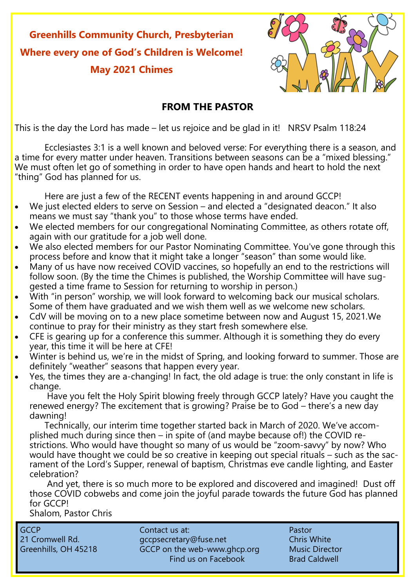**Greenhills Community Church, Presbyterian Where every one of God's Children is Welcome! May 2021 Chimes**



#### **FROM THE PASTOR**

This is the day the Lord has made – let us rejoice and be glad in it! NRSV Psalm 118:24

Ecclesiastes 3:1 is a well known and beloved verse: For everything there is a season, and a time for every matter under heaven. Transitions between seasons can be a "mixed blessing." We must often let go of something in order to have open hands and heart to hold the next "thing" God has planned for us.

Here are just a few of the RECENT events happening in and around GCCP!

- We just elected elders to serve on Session and elected a "designated deacon." It also means we must say "thank you" to those whose terms have ended.
- We elected members for our congregational Nominating Committee, as others rotate off, again with our gratitude for a job well done.
- We also elected members for our Pastor Nominating Committee. You've gone through this process before and know that it might take a longer "season" than some would like.
- Many of us have now received COVID vaccines, so hopefully an end to the restrictions will follow soon. (By the time the Chimes is published, the Worship Committee will have suggested a time frame to Session for returning to worship in person.)
- With "in person" worship, we will look forward to welcoming back our musical scholars. Some of them have graduated and we wish them well as we welcome new scholars.
- CdV will be moving on to a new place sometime between now and August 15, 2021.We continue to pray for their ministry as they start fresh somewhere else.
- CFE is gearing up for a conference this summer. Although it is something they do every year, this time it will be here at CFE!
- Winter is behind us, we're in the midst of Spring, and looking forward to summer. Those are definitely "weather" seasons that happen every year.
- Yes, the times they are a-changing! In fact, the old adage is true: the only constant in life is change.

 Have you felt the Holy Spirit blowing freely through GCCP lately? Have you caught the renewed energy? The excitement that is growing? Praise be to God – there's a new day dawning!

 Technically, our interim time together started back in March of 2020. We've accomplished much during since then – in spite of (and maybe because of!) the COVID restrictions. Who would have thought so many of us would be "zoom-savvy" by now? Who would have thought we could be so creative in keeping out special rituals – such as the sacrament of the Lord's Supper, renewal of baptism, Christmas eve candle lighting, and Easter celebration?

 And yet, there is so much more to be explored and discovered and imagined! Dust off those COVID cobwebs and come join the joyful parade towards the future God has planned for GCCP!

Shalom, Pastor Chris

GCCP Contact us at: Pastor 21 Cromwell Rd. et al. gccpsecretary@fuse.net Chris White Greenhills, OH 45218 GCCP on the web-www.ghcp.org Music Director Find us on Facebook Brad Caldwell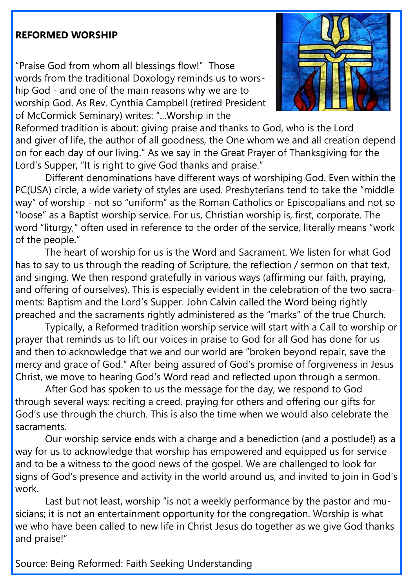#### **REFORMED WORSHIP**

"Praise God from whom all blessings flow!" Those words from the traditional Doxology reminds us to worship God - and one of the main reasons why we are to worship God. As Rev. Cynthia Campbell (retired President of McCormick Seminary) writes: "...Worship in the



Reformed tradition is about: giving praise and thanks to God, who is the Lord and giver of life, the author of all goodness, the One whom we and all creation depend on for each day of our living." As we say in the Great Prayer of Thanksgiving for the Lord's Supper, "It is right to give God thanks and praise."

Different denominations have different ways of worshiping God. Even within the PC(USA) circle, a wide variety of styles are used. Presbyterians tend to take the "middle way" of worship - not so "uniform" as the Roman Catholics or Episcopalians and not so "loose" as a Baptist worship service. For us, Christian worship is, first, corporate. The word "liturgy," often used in reference to the order of the service, literally means "work of the people."

The heart of worship for us is the Word and Sacrament. We listen for what God has to say to us through the reading of Scripture, the reflection / sermon on that text, and singing. We then respond gratefully in various ways (affirming our faith, praying, and offering of ourselves). This is especially evident in the celebration of the two sacraments: Baptism and the Lord's Supper. John Calvin called the Word being rightly preached and the sacraments rightly administered as the "marks" of the true Church.

Typically, a Reformed tradition worship service will start with a Call to worship or prayer that reminds us to lift our voices in praise to God for all God has done for us and then to acknowledge that we and our world are "broken beyond repair, save the mercy and grace of God." After being assured of God's promise of forgiveness in Jesus Christ, we move to hearing God's Word read and reflected upon through a sermon.

After God has spoken to us the message for the day, we respond to God through several ways: reciting a creed, praying for others and offering our gifts for God's use through the church. This is also the time when we would also celebrate the sacraments.

Our worship service ends with a charge and a benediction (and a postlude!) as a way for us to acknowledge that worship has empowered and equipped us for service and to be a witness to the good news of the gospel. We are challenged to look for signs of God's presence and activity in the world around us, and invited to join in God's work.

Last but not least, worship "is not a weekly performance by the pastor and musicians; it is not an entertainment opportunity for the congregation. Worship is what we who have been called to new life in Christ Jesus do together as we give God thanks and praise!"

Source: Being Reformed: Faith Seeking Understanding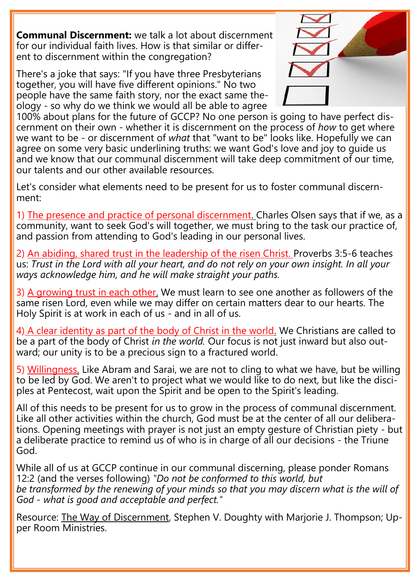**Communal Discernment:** we talk a lot about discernment for our individual faith lives. How is that similar or different to discernment within the congregation?

There's a joke that says: "If you have three Presbyterians together, you will have five different opinions." No two people have the same faith story, nor the exact same theology - so why do we think we would all be able to agree



100% about plans for the future of GCCP? No one person is going to have perfect discernment on their own - whether it is discernment on the process of *how* to get where we want to be - or discernment of *what* that "want to be" looks like. Hopefully we can agree on some very basic underlining truths: we want God's love and joy to guide us and we know that our communal discernment will take deep commitment of our time, our talents and our other available resources.

Let's consider what elements need to be present for us to foster communal discernment:

1) The presence and practice of personal discernment. Charles Olsen says that if we, as a community, want to seek God's will together, we must bring to the task our practice of, and passion from attending to God's leading in our personal lives.

2) An abiding, shared trust in the leadership of the risen Christ. Proverbs 3:5-6 teaches us: *Trust in the Lord with all your heart, and do not rely on your own insight. In all your ways acknowledge him, and he will make straight your paths.*

3) A growing trust in each other. We must learn to see one another as followers of the same risen Lord, even while we may differ on certain matters dear to our hearts. The Holy Spirit is at work in each of us - and in all of us.

4) A clear identity as part of the body of Christ in the world. We Christians are called to be a part of the body of Christ *in the world.* Our focus is not just inward but also outward; our unity is to be a precious sign to a fractured world.

5) Willingness. Like Abram and Sarai, we are not to cling to what we have, but be willing to be led by God. We aren't to project what we would like to do next, but like the disciples at Pentecost, wait upon the Spirit and be open to the Spirit's leading.

All of this needs to be present for us to grow in the process of communal discernment. Like all other activities within the church, God must be at the center of all our deliberations. Opening meetings with prayer is not just an empty gesture of Christian piety - but a deliberate practice to remind us of who is in charge of all our decisions - the Triune God.

While all of us at GCCP continue in our communal discerning, please ponder Romans 12:2 (and the verses following) *"Do not be conformed to this world, but be transformed by the renewing of your minds so that you may discern what is the will of God - what is good and acceptable and perfect."*

Resource: <u>The Way of Discernment</u>, Stephen V. Doughty with Marjorie J. Thompson; Upper Room Ministries.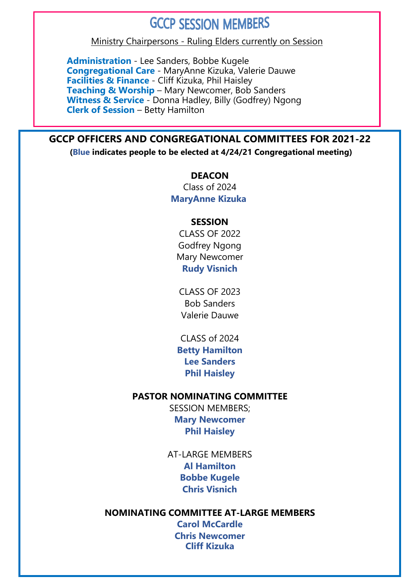#### **GCCP SESSION MEMBERS**

Ministry Chairpersons - Ruling Elders currently on Session

**Administration** - Lee Sanders, Bobbe Kugele **Congregational Care** - MaryAnne Kizuka, Valerie Dauwe **Facilities & Finance** - Cliff Kizuka, Phil Haisley **Teaching & Worship** – Mary Newcomer, Bob Sanders **Witness & Service** - Donna Hadley, Billy (Godfrey) Ngong **Clerk of Session** – Betty Hamilton

#### **GCCP OFFICERS AND CONGREGATIONAL COMMITTEES FOR 2021-22**

**(Blue indicates people to be elected at 4/24/21 Congregational meeting)**

**DEACON** Class of 2024 **MaryAnne Kizuka**

#### **SESSION**

CLASS OF 2022 Godfrey Ngong Mary Newcomer **Rudy Visnich**

CLASS OF 2023 Bob Sanders Valerie Dauwe

CLASS of 2024 **Betty Hamilton Lee Sanders Phil Haisley**

#### **PASTOR NOMINATING COMMITTEE**

SESSION MEMBERS; **Mary Newcomer Phil Haisley**

AT-LARGE MEMBERS **Al Hamilton Bobbe Kugele Chris Visnich**

#### **NOMINATING COMMITTEE AT-LARGE MEMBERS**

**Carol McCardle Chris Newcomer Cliff Kizuka**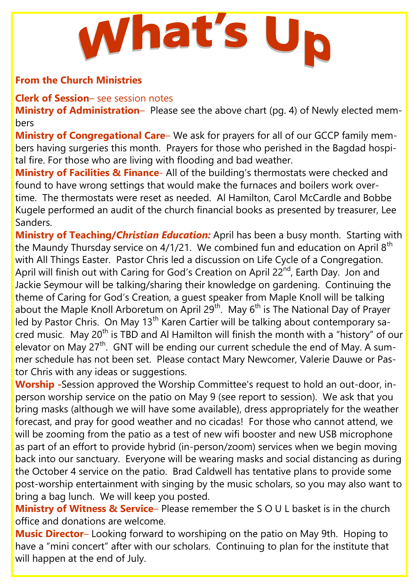# What's U

#### **From the Church Ministries**

**Clerk of Session**– see session notes

**Ministry of Administration**– Please see the above chart (pg. 4) of Newly elected members

**Ministry of Congregational Care**– We ask for prayers for all of our GCCP family members having surgeries this month. Prayers for those who perished in the Bagdad hospital fire. For those who are living with flooding and bad weather.

**Ministry of Facilities & Finance**- All of the building's thermostats were checked and found to have wrong settings that would make the furnaces and boilers work overtime. The thermostats were reset as needed. Al Hamilton, Carol McCardle and Bobbe Kugele performed an audit of the church financial books as presented by treasurer, Lee Sanders.

**Ministry of Teaching/***Christian Education:* April has been a busy month. Starting with the Maundy Thursday service on  $4/1/21$ . We combined fun and education on April  $8<sup>th</sup>$ with All Things Easter. Pastor Chris led a discussion on Life Cycle of a Congregation. April will finish out with Caring for God's Creation on April 22<sup>nd</sup>, Earth Day. Jon and Jackie Seymour will be talking/sharing their knowledge on gardening. Continuing the theme of Caring for God's Creation, a guest speaker from Maple Knoll will be talking about the Maple Knoll Arboretum on April 29<sup>th</sup>. May 6<sup>th</sup> is The National Day of Prayer led by Pastor Chris. On May 13<sup>th</sup> Karen Cartier will be talking about contemporary sacred music. May 20<sup>th</sup> is TBD and AI Hamilton will finish the month with a "history" of our elevator on May  $27<sup>th</sup>$ . GNT will be ending our current schedule the end of May. A summer schedule has not been set. Please contact Mary Newcomer, Valerie Dauwe or Pastor Chris with any ideas or suggestions.

**Worship -**Session approved the Worship Committee's request to hold an out-door, inperson worship service on the patio on May 9 (see report to session). We ask that you bring masks (although we will have some available), dress appropriately for the weather forecast, and pray for good weather and no cicadas! For those who cannot attend, we will be zooming from the patio as a test of new wifi booster and new USB microphone as part of an effort to provide hybrid (in-person/zoom) services when we begin moving back into our sanctuary. Everyone will be wearing masks and social distancing as during the October 4 service on the patio. Brad Caldwell has tentative plans to provide some post-worship entertainment with singing by the music scholars, so you may also want to bring a bag lunch. We will keep you posted.

**Ministry of Witness & Service**– Please remember the S O U L basket is in the church office and donations are welcome.

**Music Director**– Looking forward to worshiping on the patio on May 9th. Hoping to have a "mini concert" after with our scholars. Continuing to plan for the institute that will happen at the end of July.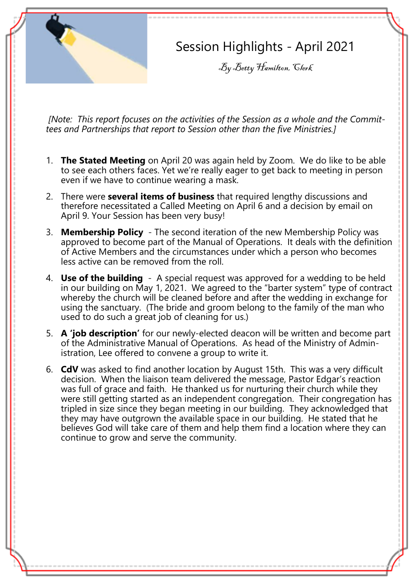

- 1. **The Stated Meeting** on April 20 was again held by Zoom. We do like to be able to see each others faces. Yet we're really eager to get back to meeting in person even if we have to continue wearing a mask.
- 2. There were **several items of business** that required lengthy discussions and therefore necessitated a Called Meeting on April 6 and a decision by email on April 9. Your Session has been very busy!
- 3. **Membership Policy** The second iteration of the new Membership Policy was approved to become part of the Manual of Operations. It deals with the definition of Active Members and the circumstances under which a person who becomes less active can be removed from the roll.
- 4. **Use of the building**  A special request was approved for a wedding to be held in our building on May 1, 2021. We agreed to the "barter system" type of contract whereby the church will be cleaned before and after the wedding in exchange for using the sanctuary. (The bride and groom belong to the family of the man who used to do such a great job of cleaning for us.)
- 5. **A 'job description'** for our newly-elected deacon will be written and become part of the Administrative Manual of Operations. As head of the Ministry of Administration, Lee offered to convene a group to write it.
- 6. **CdV** was asked to find another location by August 15th. This was a very difficult decision. When the liaison team delivered the message, Pastor Edgar's reaction was full of grace and faith. He thanked us for nurturing their church while they were still getting started as an independent congregation. Their congregation has tripled in size since they began meeting in our building. They acknowledged that they may have outgrown the available space in our building. He stated that he believes God will take care of them and help them find a location where they can continue to grow and serve the community.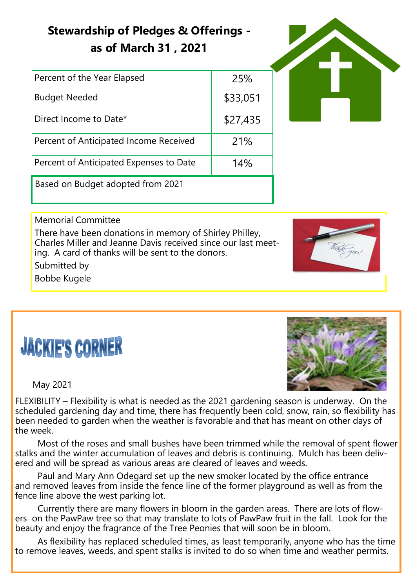### **Stewardship of Pledges & Offerings as of March 31 , 2021**

| Percent of the Year Elapsed             | 25%      |
|-----------------------------------------|----------|
| <b>Budget Needed</b>                    | \$33,051 |
| Direct Income to Date*                  | \$27,435 |
| Percent of Anticipated Income Received  | 21%      |
| Percent of Anticipated Expenses to Date | 14%      |
| Based on Budget adopted from 2021       |          |



#### Memorial Committee

There have been donations in memory of Shirley Philley, Charles Miller and Jeanne Davis received since our last meeting. A card of thanks will be sent to the donors.



Submitted by

Bobbe Kugele

## **JACKIE'S CORNER**



May 2021

FLEXIBILITY – Flexibility is what is needed as the 2021 gardening season is underway. On the scheduled gardening day and time, there has frequently been cold, snow, rain, so flexibility has been needed to garden when the weather is favorable and that has meant on other days of the week.

Most of the roses and small bushes have been trimmed while the removal of spent flower stalks and the winter accumulation of leaves and debris is continuing. Mulch has been delivered and will be spread as various areas are cleared of leaves and weeds.

Paul and Mary Ann Odegard set up the new smoker located by the office entrance and removed leaves from inside the fence line of the former playground as well as from the fence line above the west parking lot.

Currently there are many flowers in bloom in the garden areas. There are lots of flowers on the PawPaw tree so that may translate to lots of PawPaw fruit in the fall. Look for the beauty and enjoy the fragrance of the Tree Peonies that will soon be in bloom.

As flexibility has replaced scheduled times, as least temporarily, anyone who has the time to remove leaves, weeds, and spent stalks is invited to do so when time and weather permits.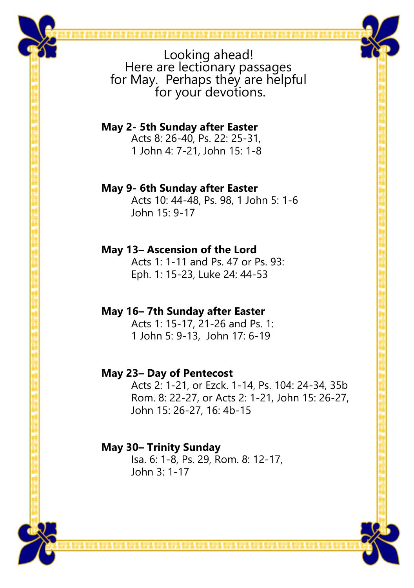**May 2- 5th Sunday after Easter** Acts 8: 26-40, Ps. 22: 25-31, 1 John 4: 7-21, John 15: 1-8

#### **May 9- 6th Sunday after Easter**

Acts 10: 44-48, Ps. 98, 1 John 5: 1-6 John 15: 9-17

#### **May 13– Ascension of the Lord**

Acts 1: 1-11 and Ps. 47 or Ps. 93: Eph. 1: 15-23, Luke 24: 44-53

#### **May 16– 7th Sunday after Easter**

Acts 1: 15-17, 21-26 and Ps. 1: 1 John 5: 9-13, John 17: 6-19

#### **May 23– Day of Pentecost**

Acts 2: 1-21, or Ezck. 1-14, Ps. 104: 24-34, 35b Rom. 8: 22-27, or Acts 2: 1-21, John 15: 26-27, John 15: 26-27, 16: 4b-15

#### **May 30– Trinity Sunday**

Isa. 6: 1-8, Ps. 29, Rom. 8: 12-17, John 3: 1-17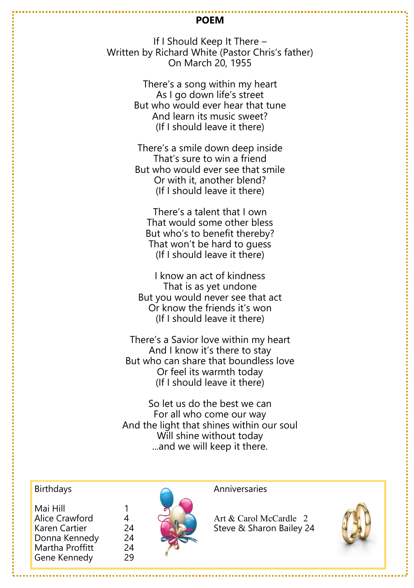#### **POEM**

If I Should Keep It There – Written by Richard White (Pastor Chris's father) On March 20, 1955

> There's a song within my heart As I go down life's street But who would ever hear that tune And learn its music sweet? (If I should leave it there)

> There's a smile down deep inside That's sure to win a friend But who would ever see that smile Or with it, another blend? (If I should leave it there)

There's a talent that I own That would some other bless But who's to benefit thereby? That won't be hard to guess (If I should leave it there)

I know an act of kindness That is as yet undone But you would never see that act Or know the friends it's won (If I should leave it there)

There's a Savior love within my heart And I know it's there to stay But who can share that boundless love Or feel its warmth today (If I should leave it there)

So let us do the best we can For all who come our way And the light that shines within our soul Will shine without today ...and we will keep it there.

| Mai Hill        |    |
|-----------------|----|
| Alice Crawford  | 4  |
| Karen Cartier   | 24 |
| Donna Kennedy   | 24 |
| Martha Proffitt | 24 |
| Gene Kennedy    | 29 |
|                 |    |



 $\sim$  Art & Carol McCardle 2 24 **Karlier Steve & Sharon Bailey 24**